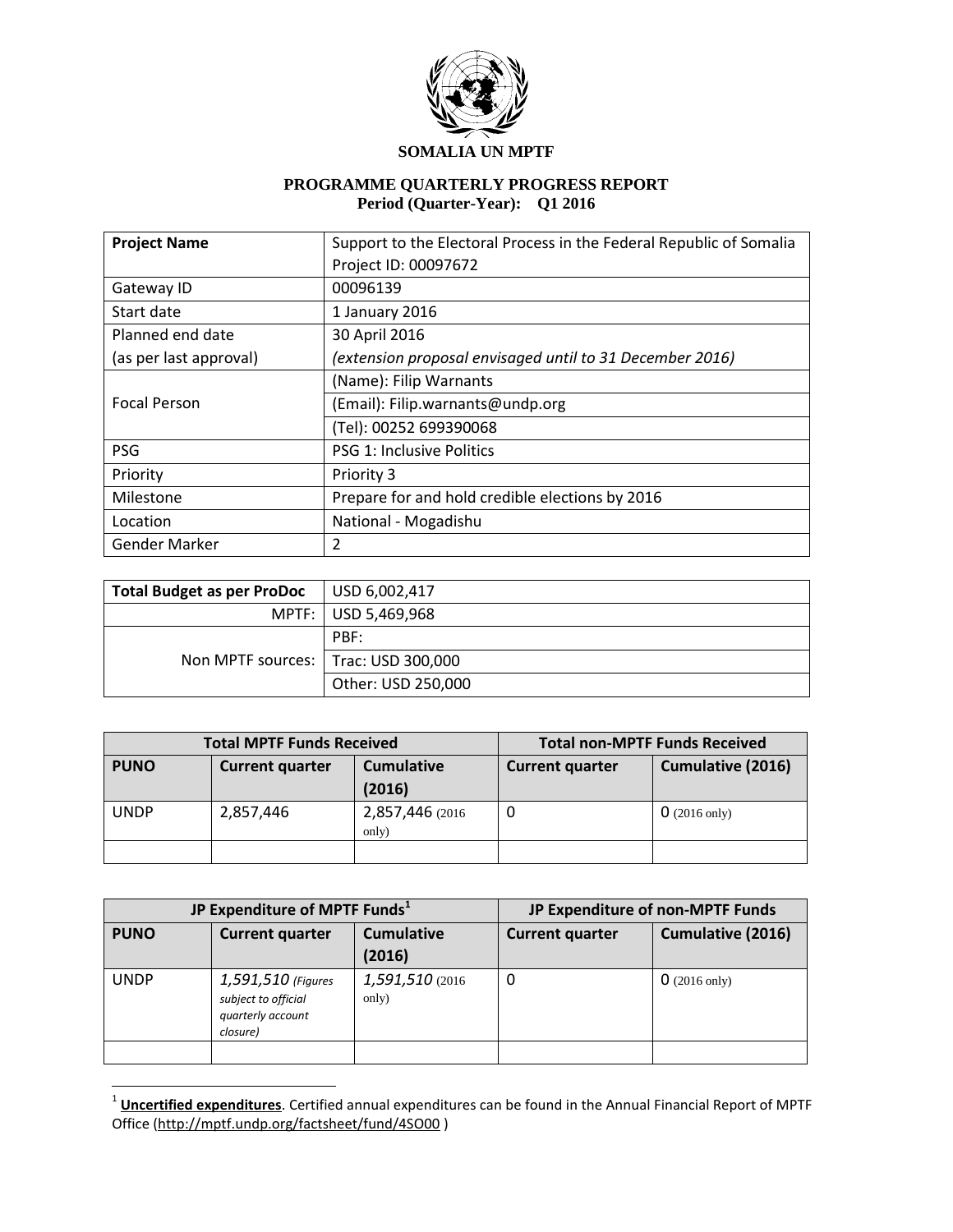

#### **SOMALIA UN MPTF**

# **PROGRAMME QUARTERLY PROGRESS REPORT Period (Quarter-Year): Q1 2016**

| <b>Project Name</b>                                                                | Support to the Electoral Process in the Federal Republic of Somalia |  |  |
|------------------------------------------------------------------------------------|---------------------------------------------------------------------|--|--|
|                                                                                    | Project ID: 00097672                                                |  |  |
| Gateway ID                                                                         | 00096139                                                            |  |  |
| Start date                                                                         | 1 January 2016                                                      |  |  |
| Planned end date                                                                   | 30 April 2016                                                       |  |  |
| (extension proposal envisaged until to 31 December 2016)<br>(as per last approval) |                                                                     |  |  |
|                                                                                    | (Name): Filip Warnants                                              |  |  |
| <b>Focal Person</b>                                                                | (Email): Filip.warnants@undp.org                                    |  |  |
|                                                                                    | (Tel): 00252 699390068                                              |  |  |
| <b>PSG</b>                                                                         | <b>PSG 1: Inclusive Politics</b>                                    |  |  |
| Priority                                                                           | Priority 3                                                          |  |  |
| Milestone                                                                          | Prepare for and hold credible elections by 2016                     |  |  |
| Location                                                                           | National - Mogadishu                                                |  |  |
| Gender Marker                                                                      | 2                                                                   |  |  |

| <b>Total Budget as per ProDoc</b>     | USD 6,002,417         |
|---------------------------------------|-----------------------|
|                                       | MPTF:   USD 5,469,968 |
|                                       | PBF:                  |
| Non MPTF sources:   Trac: USD 300,000 |                       |
|                                       | Other: USD 250,000    |

|             | <b>Total MPTF Funds Received</b> | <b>Total non-MPTF Funds Received</b> |                        |                          |  |
|-------------|----------------------------------|--------------------------------------|------------------------|--------------------------|--|
| <b>PUNO</b> | <b>Current quarter</b>           | <b>Cumulative</b>                    | <b>Current quarter</b> | <b>Cumulative (2016)</b> |  |
|             |                                  | (2016)                               |                        |                          |  |
| <b>UNDP</b> | 2,857,446                        | 2,857,446 (2016)                     |                        | $0(2016 \text{ only})$   |  |
|             |                                  | only)                                |                        |                          |  |
|             |                                  |                                      |                        |                          |  |

|             | JP Expenditure of MPTF Funds <sup>1</sup>                                  | JP Expenditure of non-MPTF Funds |                        |                          |  |
|-------------|----------------------------------------------------------------------------|----------------------------------|------------------------|--------------------------|--|
| <b>PUNO</b> | <b>Cumulative</b><br><b>Current quarter</b><br>(2016)                      |                                  | <b>Current quarter</b> | <b>Cumulative (2016)</b> |  |
| <b>UNDP</b> | 1,591,510 (Figures<br>subject to official<br>quarterly account<br>closure) | 1,591,510 (2016)<br>only)        | 0                      | $0(2016 \text{ only})$   |  |
|             |                                                                            |                                  |                        |                          |  |

 1 **Uncertified expenditures**. Certified annual expenditures can be found in the Annual Financial Report of MPTF Office [\(http://mptf.undp.org/factsheet/fund/4SO00](http://mptf.undp.org/factsheet/fund/4SO00) )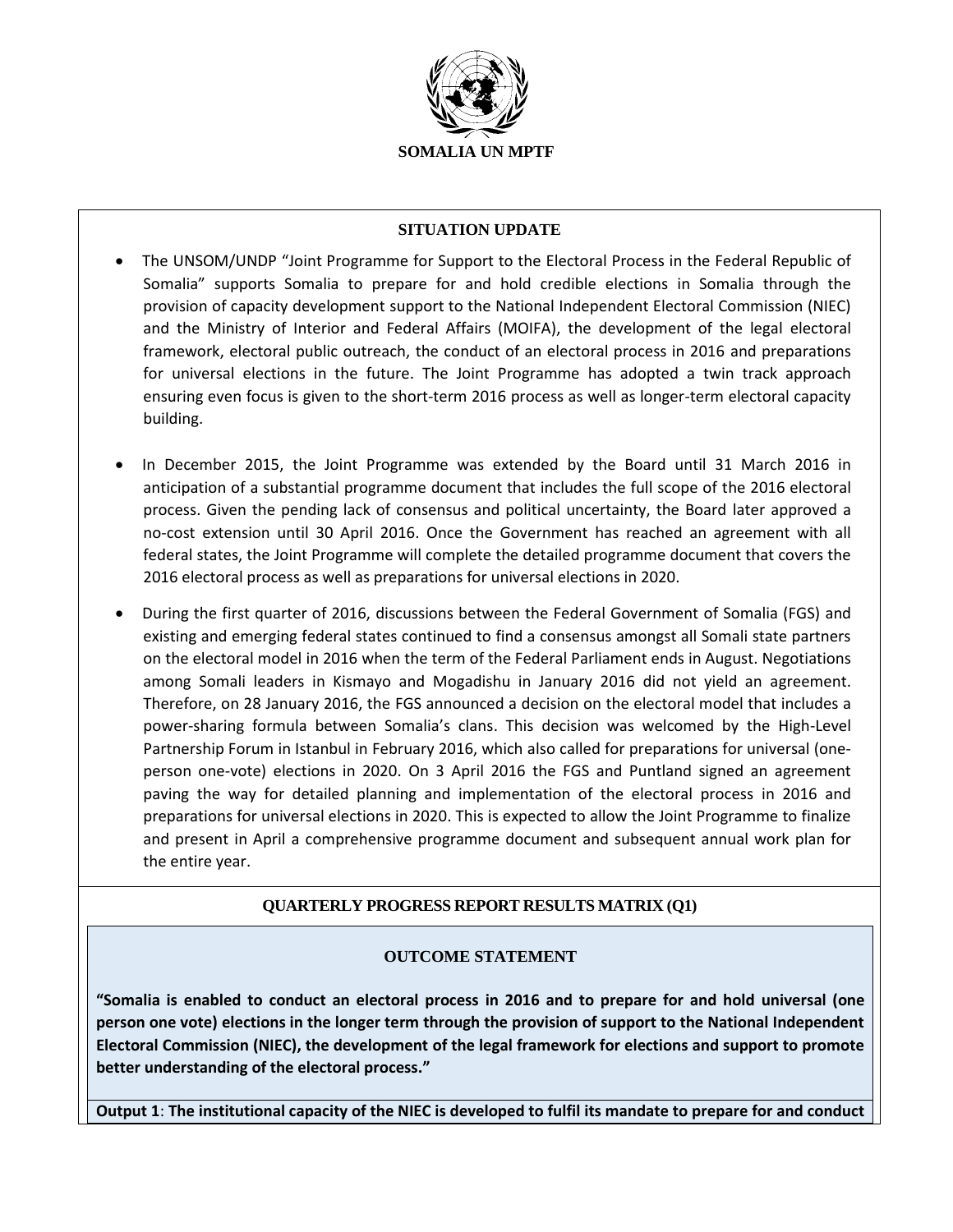

### **SITUATION UPDATE**

- The UNSOM/UNDP "Joint Programme for Support to the Electoral Process in the Federal Republic of Somalia" supports Somalia to prepare for and hold credible elections in Somalia through the provision of capacity development support to the National Independent Electoral Commission (NIEC) and the Ministry of Interior and Federal Affairs (MOIFA), the development of the legal electoral framework, electoral public outreach, the conduct of an electoral process in 2016 and preparations for universal elections in the future. The Joint Programme has adopted a twin track approach ensuring even focus is given to the short-term 2016 process as well as longer-term electoral capacity building.
- In December 2015, the Joint Programme was extended by the Board until 31 March 2016 in anticipation of a substantial programme document that includes the full scope of the 2016 electoral process. Given the pending lack of consensus and political uncertainty, the Board later approved a no-cost extension until 30 April 2016. Once the Government has reached an agreement with all federal states, the Joint Programme will complete the detailed programme document that covers the 2016 electoral process as well as preparations for universal elections in 2020.
- During the first quarter of 2016, discussions between the Federal Government of Somalia (FGS) and existing and emerging federal states continued to find a consensus amongst all Somali state partners on the electoral model in 2016 when the term of the Federal Parliament ends in August. Negotiations among Somali leaders in Kismayo and Mogadishu in January 2016 did not yield an agreement. Therefore, on 28 January 2016, the FGS announced a decision on the electoral model that includes a power-sharing formula between Somalia's clans. This decision was welcomed by the High-Level Partnership Forum in Istanbul in February 2016, which also called for preparations for universal (oneperson one-vote) elections in 2020. On 3 April 2016 the FGS and Puntland signed an agreement paving the way for detailed planning and implementation of the electoral process in 2016 and preparations for universal elections in 2020. This is expected to allow the Joint Programme to finalize and present in April a comprehensive programme document and subsequent annual work plan for the entire year.

# **QUARTERLY PROGRESS REPORT RESULTS MATRIX (Q1)**

# **OUTCOME STATEMENT**

**"Somalia is enabled to conduct an electoral process in 2016 and to prepare for and hold universal (one person one vote) elections in the longer term through the provision of support to the National Independent Electoral Commission (NIEC), the development of the legal framework for elections and support to promote better understanding of the electoral process."**

**Output 1**: **The institutional capacity of the NIEC is developed to fulfil its mandate to prepare for and conduct**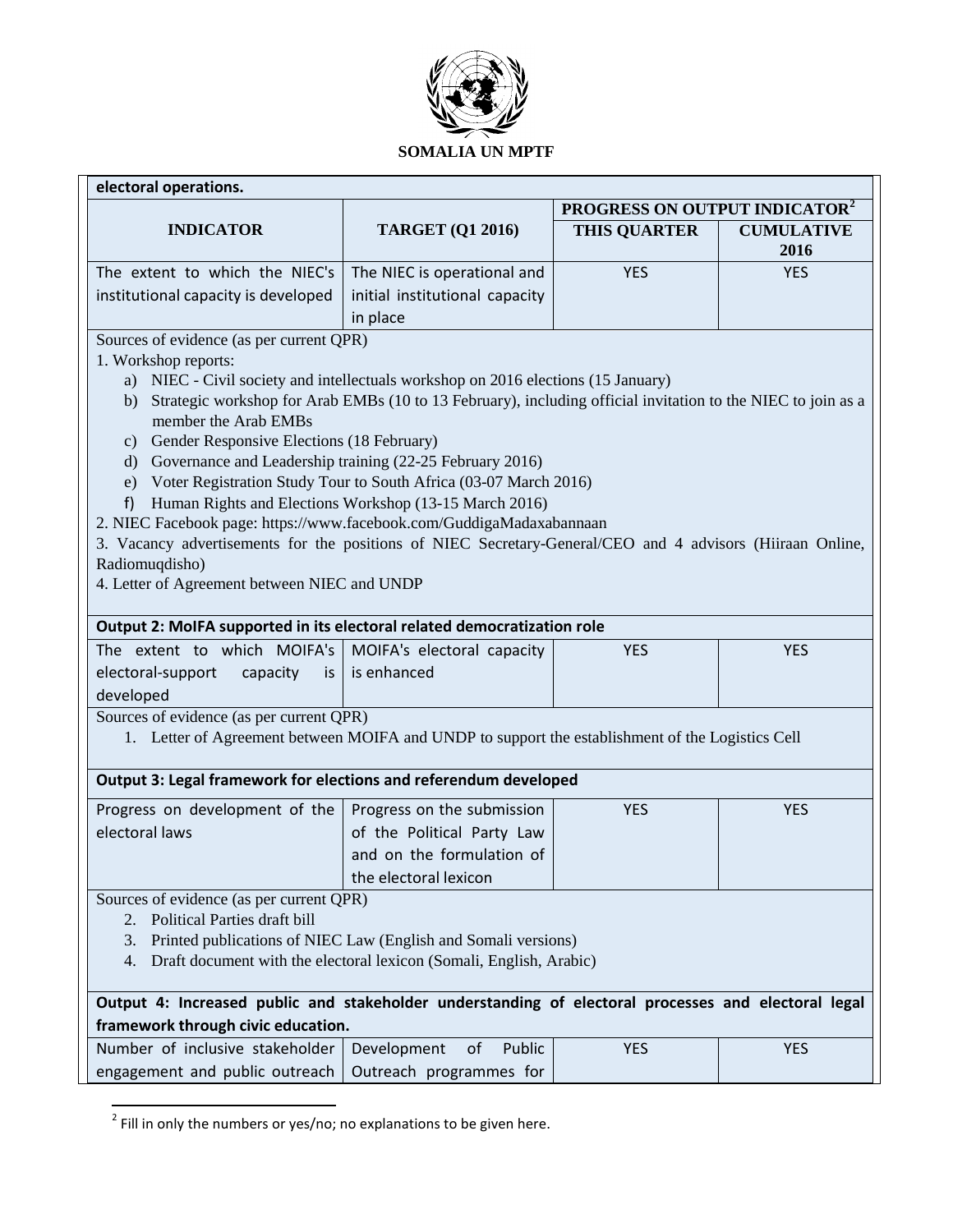

| electoral operations.                                                                                                                       |                                                                                                                              |                     |                   |  |  |  |  |  |
|---------------------------------------------------------------------------------------------------------------------------------------------|------------------------------------------------------------------------------------------------------------------------------|---------------------|-------------------|--|--|--|--|--|
| PROGRESS ON OUTPUT INDICATOR <sup>2</sup>                                                                                                   |                                                                                                                              |                     |                   |  |  |  |  |  |
| <b>INDICATOR</b>                                                                                                                            | <b>TARGET (Q1 2016)</b>                                                                                                      | <b>THIS QUARTER</b> | <b>CUMULATIVE</b> |  |  |  |  |  |
|                                                                                                                                             |                                                                                                                              |                     | 2016              |  |  |  |  |  |
| The extent to which the NIEC's                                                                                                              | The NIEC is operational and                                                                                                  | <b>YES</b>          | <b>YES</b>        |  |  |  |  |  |
| institutional capacity is developed                                                                                                         | initial institutional capacity                                                                                               |                     |                   |  |  |  |  |  |
| in place                                                                                                                                    |                                                                                                                              |                     |                   |  |  |  |  |  |
| Sources of evidence (as per current QPR)                                                                                                    |                                                                                                                              |                     |                   |  |  |  |  |  |
| 1. Workshop reports:                                                                                                                        |                                                                                                                              |                     |                   |  |  |  |  |  |
| a)                                                                                                                                          | NIEC - Civil society and intellectuals workshop on 2016 elections (15 January)                                               |                     |                   |  |  |  |  |  |
| b)                                                                                                                                          | Strategic workshop for Arab EMBs (10 to 13 February), including official invitation to the NIEC to join as a                 |                     |                   |  |  |  |  |  |
| member the Arab EMBs                                                                                                                        |                                                                                                                              |                     |                   |  |  |  |  |  |
| c) Gender Responsive Elections (18 February)                                                                                                |                                                                                                                              |                     |                   |  |  |  |  |  |
| d)                                                                                                                                          | Governance and Leadership training (22-25 February 2016)<br>Voter Registration Study Tour to South Africa (03-07 March 2016) |                     |                   |  |  |  |  |  |
| e)                                                                                                                                          | Human Rights and Elections Workshop (13-15 March 2016)                                                                       |                     |                   |  |  |  |  |  |
| f)<br>2. NIEC Facebook page: https://www.facebook.com/GuddigaMadaxabannaan                                                                  |                                                                                                                              |                     |                   |  |  |  |  |  |
| 3. Vacancy advertisements for the positions of NIEC Secretary-General/CEO and 4 advisors (Hiiraan Online,                                   |                                                                                                                              |                     |                   |  |  |  |  |  |
| Radiomuqdisho)                                                                                                                              |                                                                                                                              |                     |                   |  |  |  |  |  |
| 4. Letter of Agreement between NIEC and UNDP                                                                                                |                                                                                                                              |                     |                   |  |  |  |  |  |
|                                                                                                                                             |                                                                                                                              |                     |                   |  |  |  |  |  |
| Output 2: MoIFA supported in its electoral related democratization role                                                                     |                                                                                                                              |                     |                   |  |  |  |  |  |
| The extent to which MOIFA's                                                                                                                 | MOIFA's electoral capacity                                                                                                   | <b>YES</b>          | <b>YES</b>        |  |  |  |  |  |
| electoral-support<br>capacity<br>is                                                                                                         | is enhanced                                                                                                                  |                     |                   |  |  |  |  |  |
| developed                                                                                                                                   |                                                                                                                              |                     |                   |  |  |  |  |  |
| Sources of evidence (as per current QPR)                                                                                                    |                                                                                                                              |                     |                   |  |  |  |  |  |
| 1. Letter of Agreement between MOIFA and UNDP to support the establishment of the Logistics Cell                                            |                                                                                                                              |                     |                   |  |  |  |  |  |
|                                                                                                                                             |                                                                                                                              |                     |                   |  |  |  |  |  |
| Output 3: Legal framework for elections and referendum developed                                                                            |                                                                                                                              |                     |                   |  |  |  |  |  |
| Progress on development of the                                                                                                              | Progress on the submission                                                                                                   | <b>YES</b>          | <b>YES</b>        |  |  |  |  |  |
| electoral laws                                                                                                                              | of the Political Party Law                                                                                                   |                     |                   |  |  |  |  |  |
|                                                                                                                                             | and on the formulation of                                                                                                    |                     |                   |  |  |  |  |  |
|                                                                                                                                             | the electoral lexicon                                                                                                        |                     |                   |  |  |  |  |  |
| Sources of evidence (as per current QPR)                                                                                                    |                                                                                                                              |                     |                   |  |  |  |  |  |
| 2. Political Parties draft bill                                                                                                             |                                                                                                                              |                     |                   |  |  |  |  |  |
| 3.                                                                                                                                          |                                                                                                                              |                     |                   |  |  |  |  |  |
| Printed publications of NIEC Law (English and Somali versions)<br>Draft document with the electoral lexicon (Somali, English, Arabic)<br>4. |                                                                                                                              |                     |                   |  |  |  |  |  |
|                                                                                                                                             |                                                                                                                              |                     |                   |  |  |  |  |  |
| Output 4: Increased public and stakeholder understanding of electoral processes and electoral legal                                         |                                                                                                                              |                     |                   |  |  |  |  |  |
| framework through civic education.                                                                                                          |                                                                                                                              |                     |                   |  |  |  |  |  |
| Number of inclusive stakeholder                                                                                                             | Development<br>Public<br>of                                                                                                  | <b>YES</b>          | <b>YES</b>        |  |  |  |  |  |
| engagement and public outreach                                                                                                              | Outreach programmes for                                                                                                      |                     |                   |  |  |  |  |  |

 $\frac{1}{2}$  Fill in only the numbers or yes/no; no explanations to be given here.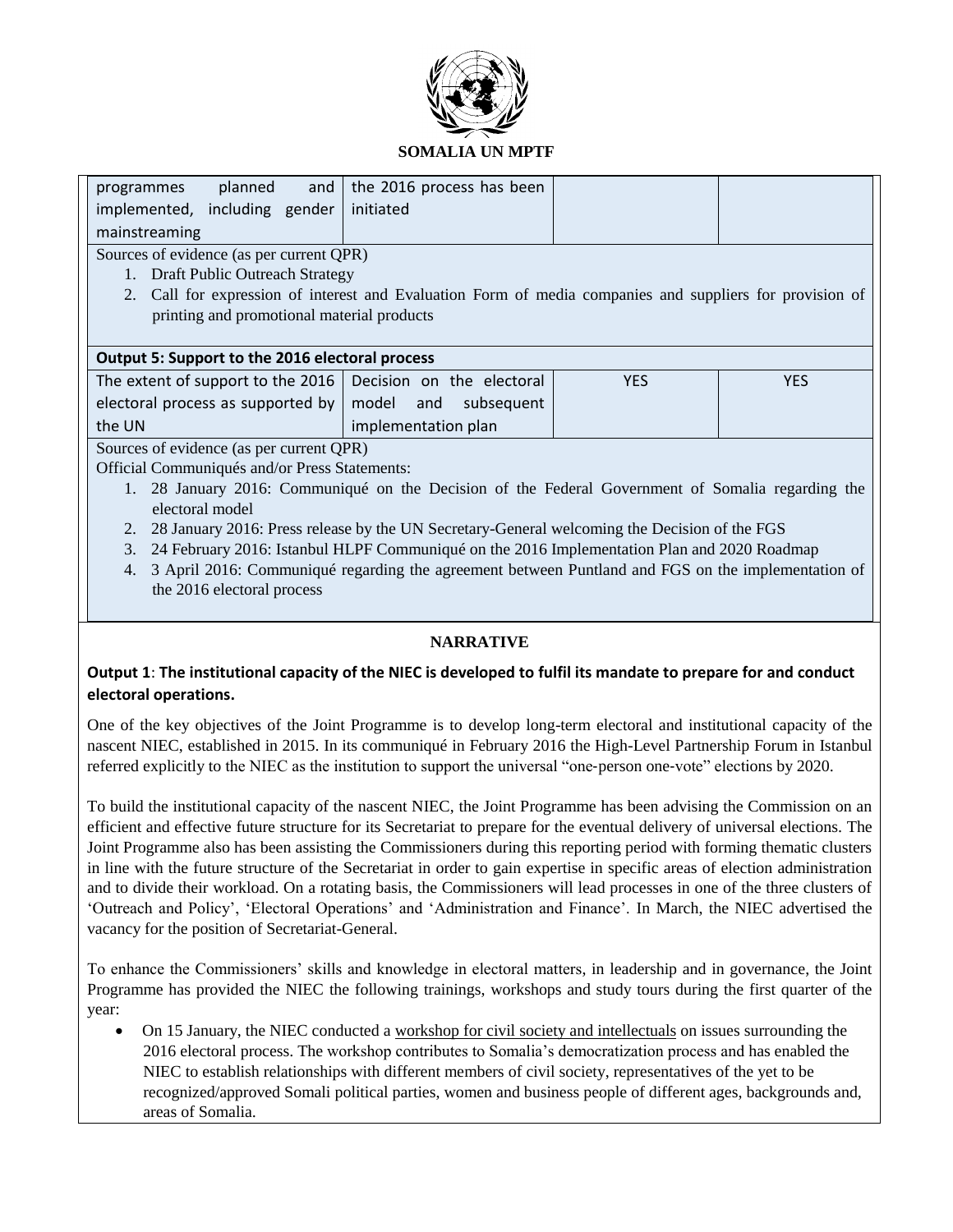

### **SOMALIA UN MPTF**

| planned<br>and<br>programmes                                                               | the 2016 process has been                                                                             |  |  |  |  |  |  |
|--------------------------------------------------------------------------------------------|-------------------------------------------------------------------------------------------------------|--|--|--|--|--|--|
| implemented, including gender                                                              | initiated                                                                                             |  |  |  |  |  |  |
| mainstreaming                                                                              |                                                                                                       |  |  |  |  |  |  |
| Sources of evidence (as per current QPR)                                                   |                                                                                                       |  |  |  |  |  |  |
| <b>Draft Public Outreach Strategy</b>                                                      |                                                                                                       |  |  |  |  |  |  |
| 2.                                                                                         | Call for expression of interest and Evaluation Form of media companies and suppliers for provision of |  |  |  |  |  |  |
| printing and promotional material products                                                 |                                                                                                       |  |  |  |  |  |  |
|                                                                                            |                                                                                                       |  |  |  |  |  |  |
| Output 5: Support to the 2016 electoral process                                            |                                                                                                       |  |  |  |  |  |  |
| Decision on the electoral<br>The extent of support to the 2016<br><b>YES</b><br><b>YES</b> |                                                                                                       |  |  |  |  |  |  |
| electoral process as supported by                                                          | model<br>and<br>subsequent                                                                            |  |  |  |  |  |  |
| the UN                                                                                     | implementation plan                                                                                   |  |  |  |  |  |  |
| $\sim$<br>$\cdot$ $\cdot$<br>$\sim$ $\sim$ $\sim$ $\sim$<br>$\sim$ $\sim$                  |                                                                                                       |  |  |  |  |  |  |

Sources of evidence (as per current QPR)

Official Communiqués and/or Press Statements:

- 1. 28 January 2016: Communiqué on the Decision of the Federal Government of Somalia regarding the electoral model
- 2. 28 January 2016: Press release by the UN Secretary-General welcoming the Decision of the FGS
- 3. 24 February 2016: Istanbul HLPF Communiqué on the 2016 Implementation Plan and 2020 Roadmap
- 4. 3 April 2016: Communiqué regarding the agreement between Puntland and FGS on the implementation of the 2016 electoral process

# **NARRATIVE**

### **Output 1**: **The institutional capacity of the NIEC is developed to fulfil its mandate to prepare for and conduct electoral operations.**

One of the key objectives of the Joint Programme is to develop long-term electoral and institutional capacity of the nascent NIEC, established in 2015. In its communiqué in February 2016 the High-Level Partnership Forum in Istanbul referred explicitly to the NIEC as the institution to support the universal "one‐person one‐vote" elections by 2020.

To build the institutional capacity of the nascent NIEC, the Joint Programme has been advising the Commission on an efficient and effective future structure for its Secretariat to prepare for the eventual delivery of universal elections. The Joint Programme also has been assisting the Commissioners during this reporting period with forming thematic clusters in line with the future structure of the Secretariat in order to gain expertise in specific areas of election administration and to divide their workload. On a rotating basis, the Commissioners will lead processes in one of the three clusters of 'Outreach and Policy', 'Electoral Operations' and 'Administration and Finance'. In March, the NIEC advertised the vacancy for the position of Secretariat-General.

To enhance the Commissioners' skills and knowledge in electoral matters, in leadership and in governance, the Joint Programme has provided the NIEC the following trainings, workshops and study tours during the first quarter of the year:

 On 15 January, the NIEC conducted a workshop for civil society and intellectuals on issues surrounding the 2016 electoral process. The workshop contributes to Somalia's democratization process and has enabled the NIEC to establish relationships with different members of civil society, representatives of the yet to be recognized/approved Somali political parties, women and business people of different ages, backgrounds and, areas of Somalia.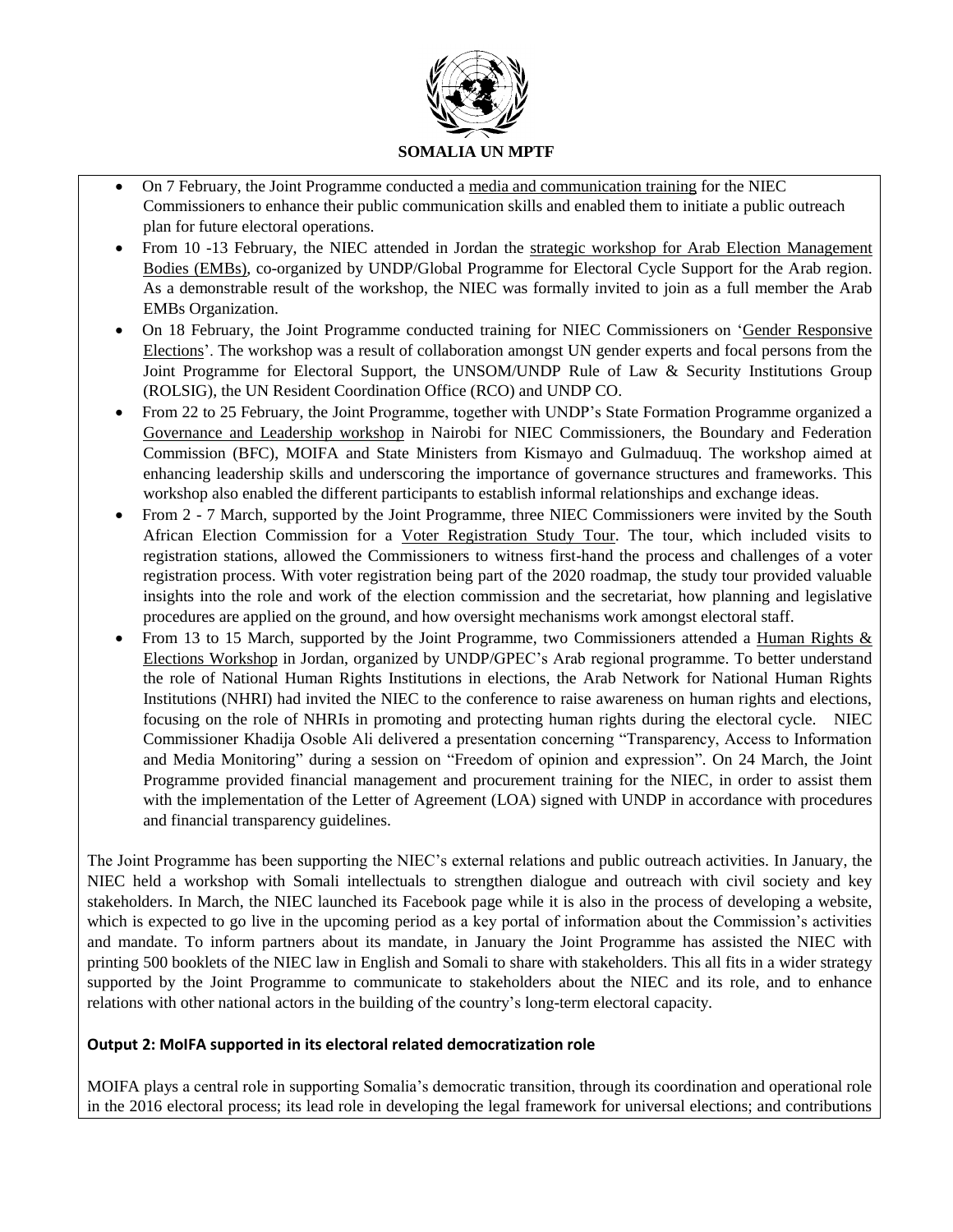

- On 7 February, the Joint Programme conducted a media and communication training for the NIEC Commissioners to enhance their public communication skills and enabled them to initiate a public outreach plan for future electoral operations.
- From 10 -13 February, the NIEC attended in Jordan the strategic workshop for Arab Election Management Bodies (EMBs), co-organized by UNDP/Global Programme for Electoral Cycle Support for the Arab region. As a demonstrable result of the workshop, the NIEC was formally invited to join as a full member the Arab EMBs Organization.
- On 18 February, the Joint Programme conducted training for NIEC Commissioners on 'Gender Responsive Elections'. The workshop was a result of collaboration amongst UN gender experts and focal persons from the Joint Programme for Electoral Support, the UNSOM/UNDP Rule of Law & Security Institutions Group (ROLSIG), the UN Resident Coordination Office (RCO) and UNDP CO.
- From 22 to 25 February, the Joint Programme, together with UNDP's State Formation Programme organized a Governance and Leadership workshop in Nairobi for NIEC Commissioners, the Boundary and Federation Commission (BFC), MOIFA and State Ministers from Kismayo and Gulmaduuq. The workshop aimed at enhancing leadership skills and underscoring the importance of governance structures and frameworks. This workshop also enabled the different participants to establish informal relationships and exchange ideas.
- From 2 7 March, supported by the Joint Programme, three NIEC Commissioners were invited by the South African Election Commission for a Voter Registration Study Tour. The tour, which included visits to registration stations, allowed the Commissioners to witness first-hand the process and challenges of a voter registration process. With voter registration being part of the 2020 roadmap, the study tour provided valuable insights into the role and work of the election commission and the secretariat, how planning and legislative procedures are applied on the ground, and how oversight mechanisms work amongst electoral staff.
- From 13 to 15 March, supported by the Joint Programme, two Commissioners attended a Human Rights & Elections Workshop in Jordan, organized by UNDP/GPEC's Arab regional programme. To better understand the role of National Human Rights Institutions in elections, the Arab Network for National Human Rights Institutions (NHRI) had invited the NIEC to the conference to raise awareness on human rights and elections, focusing on the role of NHRIs in promoting and protecting human rights during the electoral cycle. NIEC Commissioner Khadija Osoble Ali delivered a presentation concerning "Transparency, Access to Information and Media Monitoring" during a session on "Freedom of opinion and expression". On 24 March, the Joint Programme provided financial management and procurement training for the NIEC, in order to assist them with the implementation of the Letter of Agreement (LOA) signed with UNDP in accordance with procedures and financial transparency guidelines.

The Joint Programme has been supporting the NIEC's external relations and public outreach activities. In January, the NIEC held a workshop with Somali intellectuals to strengthen dialogue and outreach with civil society and key stakeholders. In March, the NIEC launched its Facebook page while it is also in the process of developing a website, which is expected to go live in the upcoming period as a key portal of information about the Commission's activities and mandate. To inform partners about its mandate, in January the Joint Programme has assisted the NIEC with printing 500 booklets of the NIEC law in English and Somali to share with stakeholders. This all fits in a wider strategy supported by the Joint Programme to communicate to stakeholders about the NIEC and its role, and to enhance relations with other national actors in the building of the country's long-term electoral capacity.

### **Output 2: MoIFA supported in its electoral related democratization role**

MOIFA plays a central role in supporting Somalia's democratic transition, through its coordination and operational role in the 2016 electoral process; its lead role in developing the legal framework for universal elections; and contributions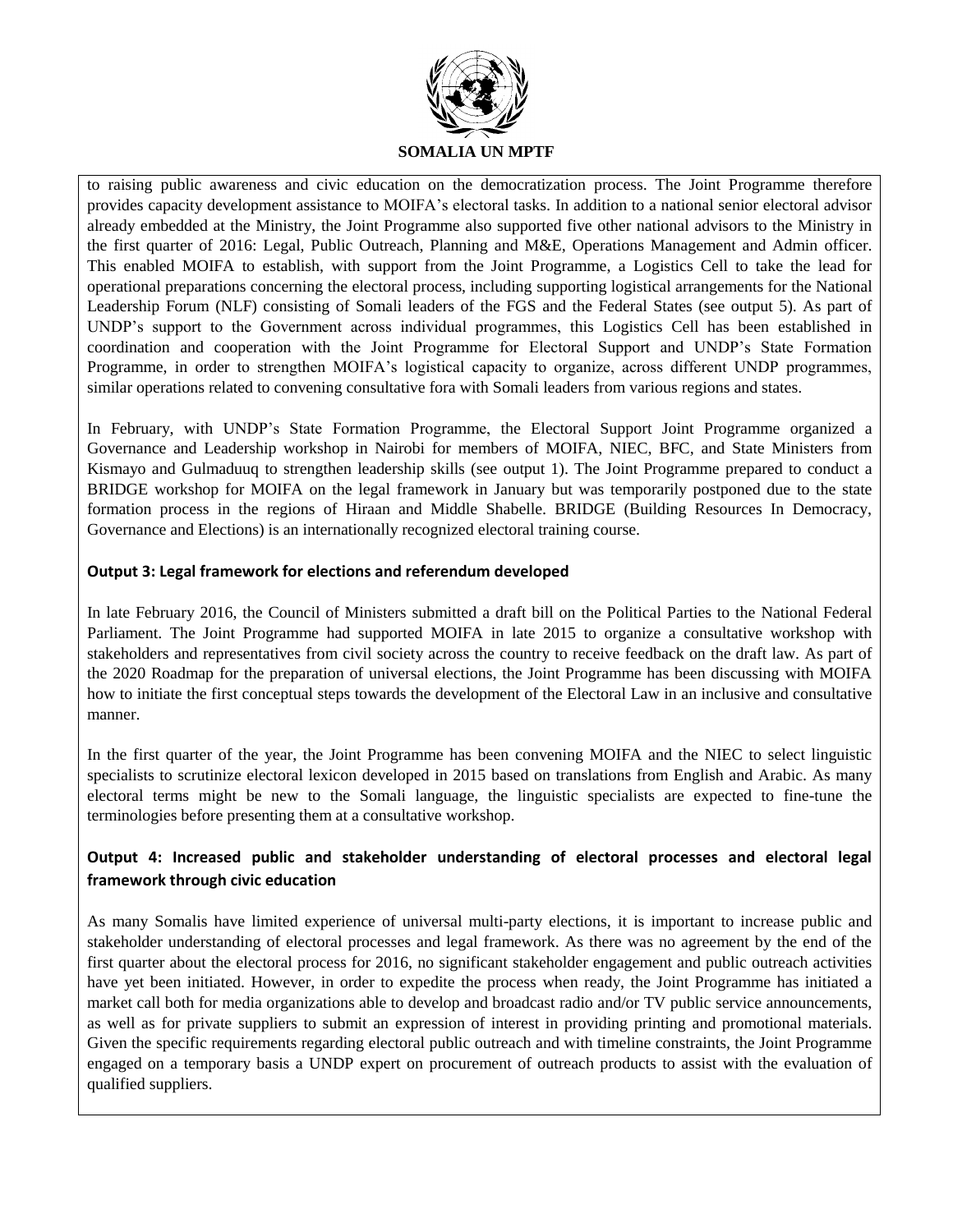

to raising public awareness and civic education on the democratization process. The Joint Programme therefore provides capacity development assistance to MOIFA's electoral tasks. In addition to a national senior electoral advisor already embedded at the Ministry, the Joint Programme also supported five other national advisors to the Ministry in the first quarter of 2016: Legal, Public Outreach, Planning and M&E, Operations Management and Admin officer. This enabled MOIFA to establish, with support from the Joint Programme, a Logistics Cell to take the lead for operational preparations concerning the electoral process, including supporting logistical arrangements for the National Leadership Forum (NLF) consisting of Somali leaders of the FGS and the Federal States (see output 5). As part of UNDP's support to the Government across individual programmes, this Logistics Cell has been established in coordination and cooperation with the Joint Programme for Electoral Support and UNDP's State Formation Programme, in order to strengthen MOIFA's logistical capacity to organize, across different UNDP programmes, similar operations related to convening consultative fora with Somali leaders from various regions and states.

In February, with UNDP's State Formation Programme, the Electoral Support Joint Programme organized a Governance and Leadership workshop in Nairobi for members of MOIFA, NIEC, BFC, and State Ministers from Kismayo and Gulmaduuq to strengthen leadership skills (see output 1). The Joint Programme prepared to conduct a BRIDGE workshop for MOIFA on the legal framework in January but was temporarily postponed due to the state formation process in the regions of Hiraan and Middle Shabelle. BRIDGE (Building Resources In Democracy, Governance and Elections) is an internationally recognized electoral training course.

### **Output 3: Legal framework for elections and referendum developed**

In late February 2016, the Council of Ministers submitted a draft bill on the Political Parties to the National Federal Parliament. The Joint Programme had supported MOIFA in late 2015 to organize a consultative workshop with stakeholders and representatives from civil society across the country to receive feedback on the draft law. As part of the 2020 Roadmap for the preparation of universal elections, the Joint Programme has been discussing with MOIFA how to initiate the first conceptual steps towards the development of the Electoral Law in an inclusive and consultative manner.

In the first quarter of the year, the Joint Programme has been convening MOIFA and the NIEC to select linguistic specialists to scrutinize electoral lexicon developed in 2015 based on translations from English and Arabic. As many electoral terms might be new to the Somali language, the linguistic specialists are expected to fine-tune the terminologies before presenting them at a consultative workshop.

# **Output 4: Increased public and stakeholder understanding of electoral processes and electoral legal framework through civic education**

As many Somalis have limited experience of universal multi-party elections, it is important to increase public and stakeholder understanding of electoral processes and legal framework. As there was no agreement by the end of the first quarter about the electoral process for 2016, no significant stakeholder engagement and public outreach activities have yet been initiated. However, in order to expedite the process when ready, the Joint Programme has initiated a market call both for media organizations able to develop and broadcast radio and/or TV public service announcements, as well as for private suppliers to submit an expression of interest in providing printing and promotional materials. Given the specific requirements regarding electoral public outreach and with timeline constraints, the Joint Programme engaged on a temporary basis a UNDP expert on procurement of outreach products to assist with the evaluation of qualified suppliers.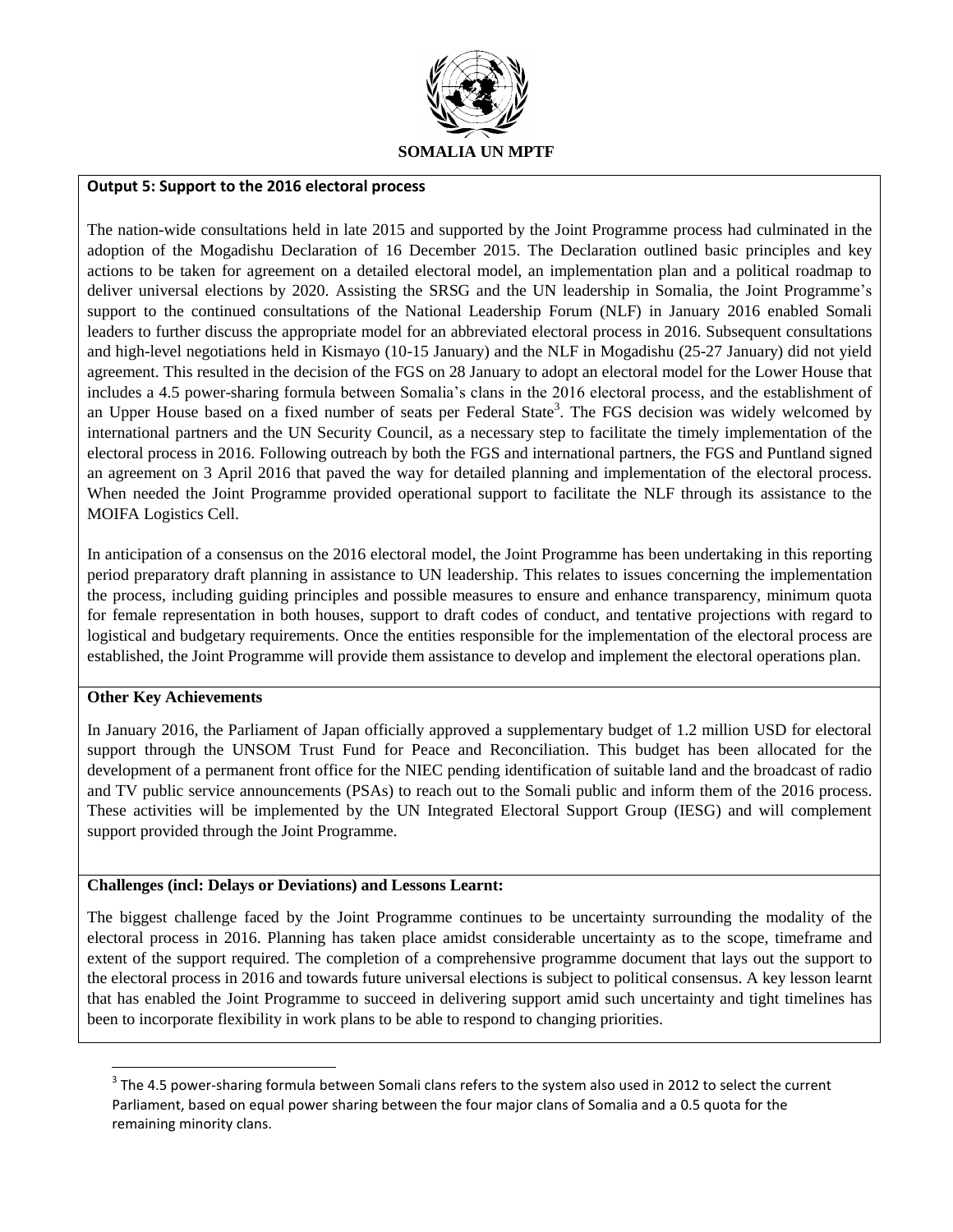

#### **Output 5: Support to the 2016 electoral process**

The nation-wide consultations held in late 2015 and supported by the Joint Programme process had culminated in the adoption of the Mogadishu Declaration of 16 December 2015. The Declaration outlined basic principles and key actions to be taken for agreement on a detailed electoral model, an implementation plan and a political roadmap to deliver universal elections by 2020. Assisting the SRSG and the UN leadership in Somalia, the Joint Programme's support to the continued consultations of the National Leadership Forum (NLF) in January 2016 enabled Somali leaders to further discuss the appropriate model for an abbreviated electoral process in 2016. Subsequent consultations and high-level negotiations held in Kismayo (10-15 January) and the NLF in Mogadishu (25-27 January) did not yield agreement. This resulted in the decision of the FGS on 28 January to adopt an electoral model for the Lower House that includes a 4.5 power-sharing formula between Somalia's clans in the 2016 electoral process, and the establishment of an Upper House based on a fixed number of seats per Federal State<sup>3</sup>. The FGS decision was widely welcomed by international partners and the UN Security Council, as a necessary step to facilitate the timely implementation of the electoral process in 2016. Following outreach by both the FGS and international partners, the FGS and Puntland signed an agreement on 3 April 2016 that paved the way for detailed planning and implementation of the electoral process. When needed the Joint Programme provided operational support to facilitate the NLF through its assistance to the MOIFA Logistics Cell.

In anticipation of a consensus on the 2016 electoral model, the Joint Programme has been undertaking in this reporting period preparatory draft planning in assistance to UN leadership. This relates to issues concerning the implementation the process, including guiding principles and possible measures to ensure and enhance transparency, minimum quota for female representation in both houses, support to draft codes of conduct, and tentative projections with regard to logistical and budgetary requirements. Once the entities responsible for the implementation of the electoral process are established, the Joint Programme will provide them assistance to develop and implement the electoral operations plan.

#### **Other Key Achievements**

 $\overline{\phantom{a}}$ 

In January 2016, the Parliament of Japan officially approved a supplementary budget of 1.2 million USD for electoral support through the UNSOM Trust Fund for Peace and Reconciliation. This budget has been allocated for the development of a permanent front office for the NIEC pending identification of suitable land and the broadcast of radio and TV public service announcements (PSAs) to reach out to the Somali public and inform them of the 2016 process. These activities will be implemented by the UN Integrated Electoral Support Group (IESG) and will complement support provided through the Joint Programme.

#### **Challenges (incl: Delays or Deviations) and Lessons Learnt:**

The biggest challenge faced by the Joint Programme continues to be uncertainty surrounding the modality of the electoral process in 2016. Planning has taken place amidst considerable uncertainty as to the scope, timeframe and extent of the support required. The completion of a comprehensive programme document that lays out the support to the electoral process in 2016 and towards future universal elections is subject to political consensus. A key lesson learnt that has enabled the Joint Programme to succeed in delivering support amid such uncertainty and tight timelines has been to incorporate flexibility in work plans to be able to respond to changing priorities.

 $3$  The 4.5 power-sharing formula between Somali clans refers to the system also used in 2012 to select the current Parliament, based on equal power sharing between the four major clans of Somalia and a 0.5 quota for the remaining minority clans.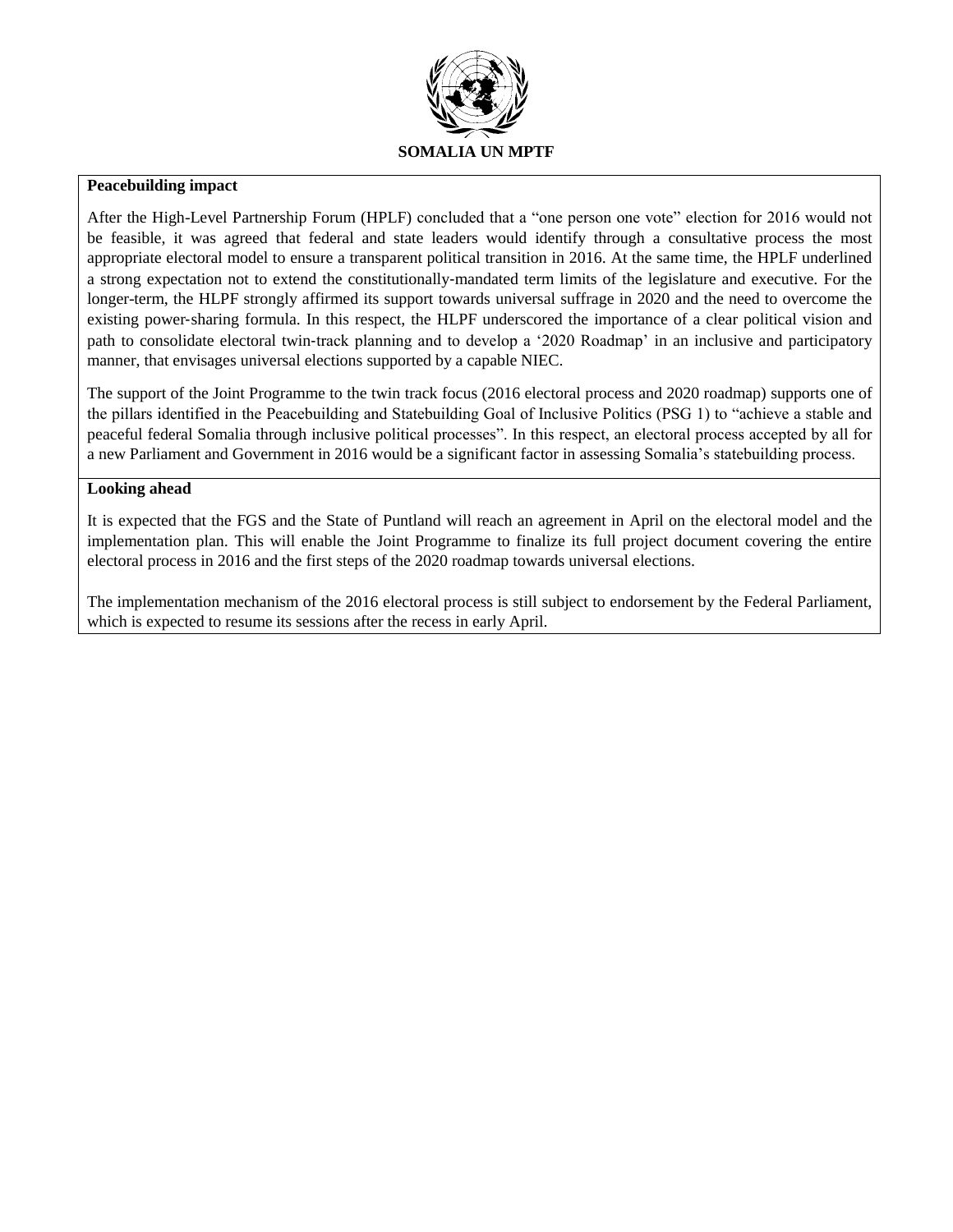

#### **Peacebuilding impact**

After the High-Level Partnership Forum (HPLF) concluded that a "one person one vote" election for 2016 would not be feasible, it was agreed that federal and state leaders would identify through a consultative process the most appropriate electoral model to ensure a transparent political transition in 2016. At the same time, the HPLF underlined a strong expectation not to extend the constitutionally‐mandated term limits of the legislature and executive. For the longer-term, the HLPF strongly affirmed its support towards universal suffrage in 2020 and the need to overcome the existing power‐sharing formula. In this respect, the HLPF underscored the importance of a clear political vision and path to consolidate electoral twin‐track planning and to develop a '2020 Roadmap' in an inclusive and participatory manner, that envisages universal elections supported by a capable NIEC.

The support of the Joint Programme to the twin track focus (2016 electoral process and 2020 roadmap) supports one of the pillars identified in the Peacebuilding and Statebuilding Goal of Inclusive Politics (PSG 1) to "achieve a stable and peaceful federal Somalia through inclusive political processes". In this respect, an electoral process accepted by all for a new Parliament and Government in 2016 would be a significant factor in assessing Somalia's statebuilding process.

### **Looking ahead**

It is expected that the FGS and the State of Puntland will reach an agreement in April on the electoral model and the implementation plan. This will enable the Joint Programme to finalize its full project document covering the entire electoral process in 2016 and the first steps of the 2020 roadmap towards universal elections.

The implementation mechanism of the 2016 electoral process is still subject to endorsement by the Federal Parliament, which is expected to resume its sessions after the recess in early April.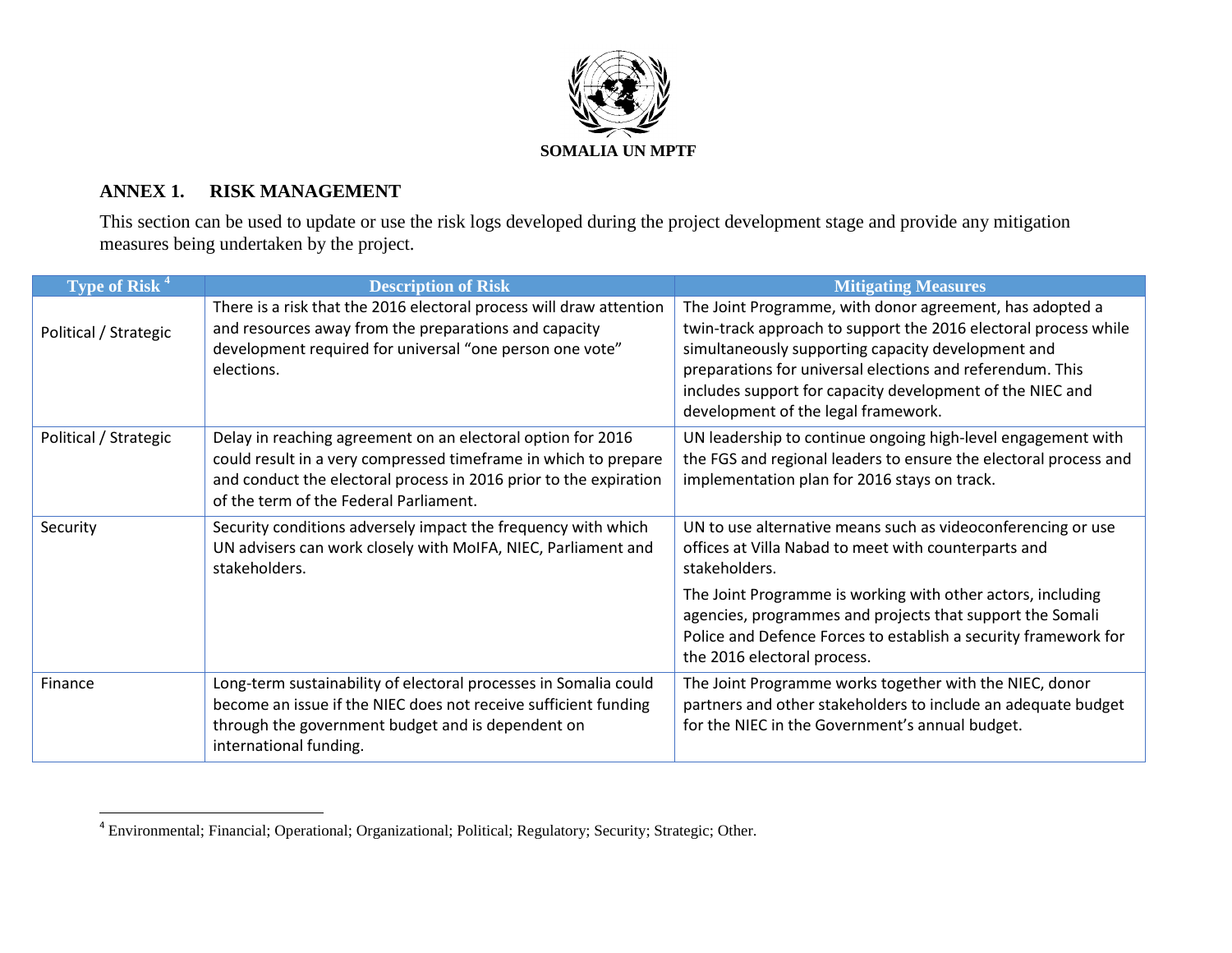

# **ANNEX 1. RISK MANAGEMENT**

This section can be used to update or use the risk logs developed during the project development stage and provide any mitigation measures being undertaken by the project.

| Type of Risk <sup>4</sup> | <b>Description of Risk</b>                                                                                                                                                                                                                    | <b>Mitigating Measures</b>                                                                                                                                                                                                                                                                                                                         |
|---------------------------|-----------------------------------------------------------------------------------------------------------------------------------------------------------------------------------------------------------------------------------------------|----------------------------------------------------------------------------------------------------------------------------------------------------------------------------------------------------------------------------------------------------------------------------------------------------------------------------------------------------|
| Political / Strategic     | There is a risk that the 2016 electoral process will draw attention<br>and resources away from the preparations and capacity<br>development required for universal "one person one vote"<br>elections.                                        | The Joint Programme, with donor agreement, has adopted a<br>twin-track approach to support the 2016 electoral process while<br>simultaneously supporting capacity development and<br>preparations for universal elections and referendum. This<br>includes support for capacity development of the NIEC and<br>development of the legal framework. |
| Political / Strategic     | Delay in reaching agreement on an electoral option for 2016<br>could result in a very compressed timeframe in which to prepare<br>and conduct the electoral process in 2016 prior to the expiration<br>of the term of the Federal Parliament. | UN leadership to continue ongoing high-level engagement with<br>the FGS and regional leaders to ensure the electoral process and<br>implementation plan for 2016 stays on track.                                                                                                                                                                   |
| Security                  | Security conditions adversely impact the frequency with which<br>UN advisers can work closely with MoIFA, NIEC, Parliament and<br>stakeholders.                                                                                               | UN to use alternative means such as videoconferencing or use<br>offices at Villa Nabad to meet with counterparts and<br>stakeholders.<br>The Joint Programme is working with other actors, including<br>agencies, programmes and projects that support the Somali                                                                                  |
|                           |                                                                                                                                                                                                                                               | Police and Defence Forces to establish a security framework for<br>the 2016 electoral process.                                                                                                                                                                                                                                                     |
| Finance                   | Long-term sustainability of electoral processes in Somalia could<br>become an issue if the NIEC does not receive sufficient funding<br>through the government budget and is dependent on<br>international funding.                            | The Joint Programme works together with the NIEC, donor<br>partners and other stakeholders to include an adequate budget<br>for the NIEC in the Government's annual budget.                                                                                                                                                                        |

 4 Environmental; Financial; Operational; Organizational; Political; Regulatory; Security; Strategic; Other.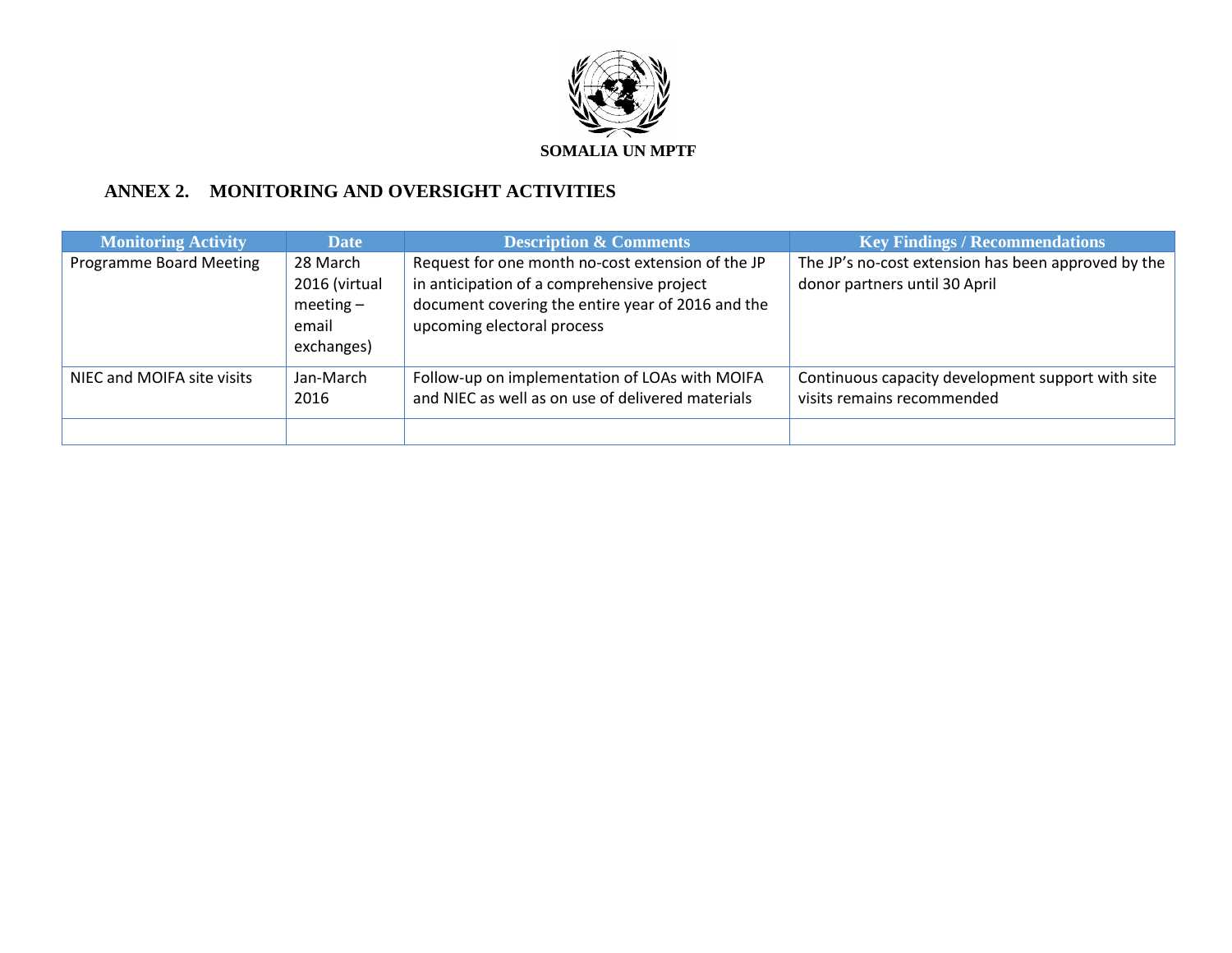

# **ANNEX 2. MONITORING AND OVERSIGHT ACTIVITIES**

| <b>Monitoring Activity</b> | <b>Date</b>                                                    | <b>Description &amp; Comments</b>                                                                                                                                                  | <b>Key Findings / Recommendations</b>                                                |
|----------------------------|----------------------------------------------------------------|------------------------------------------------------------------------------------------------------------------------------------------------------------------------------------|--------------------------------------------------------------------------------------|
| Programme Board Meeting    | 28 March<br>2016 (virtual<br>$meeting-$<br>email<br>exchanges) | Request for one month no-cost extension of the JP<br>in anticipation of a comprehensive project<br>document covering the entire year of 2016 and the<br>upcoming electoral process | The JP's no-cost extension has been approved by the<br>donor partners until 30 April |
| NIEC and MOIFA site visits | Jan-March<br>2016                                              | Follow-up on implementation of LOAs with MOIFA<br>and NIEC as well as on use of delivered materials                                                                                | Continuous capacity development support with site<br>visits remains recommended      |
|                            |                                                                |                                                                                                                                                                                    |                                                                                      |